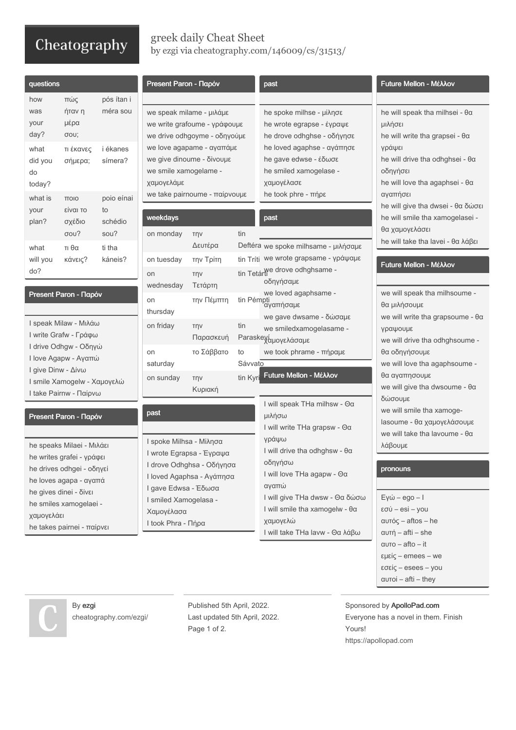## Cheatography

By ezgi

[cheatography.com/ezgi/](http://www.cheatography.com/ezgi/)

## greek daily Cheat Sheet by [ezgi](http://www.cheatography.com/ezgi/) via [cheatography.com/146009/cs/31513/](http://www.cheatography.com/ezgi/cheat-sheets/greek-daily)

| questions                                                                                                                                             |                                                                                        |                                                                                   | Present Paron - Παρόν                                                                                                          |                                                                                          |                                                                                                                                     | past                                                                                                                                         | Future Mellon - Μέλλον                                                                                                                   |  |
|-------------------------------------------------------------------------------------------------------------------------------------------------------|----------------------------------------------------------------------------------------|-----------------------------------------------------------------------------------|--------------------------------------------------------------------------------------------------------------------------------|------------------------------------------------------------------------------------------|-------------------------------------------------------------------------------------------------------------------------------------|----------------------------------------------------------------------------------------------------------------------------------------------|------------------------------------------------------------------------------------------------------------------------------------------|--|
| how                                                                                                                                                   | πώς                                                                                    | pós ítan i                                                                        |                                                                                                                                |                                                                                          |                                                                                                                                     |                                                                                                                                              |                                                                                                                                          |  |
| was<br>your<br>day?                                                                                                                                   | ήταν η<br>μέρα<br>σου;                                                                 | méra sou                                                                          |                                                                                                                                | we speak milame - μιλάμε<br>we write grafoume - γράφουμε<br>we drive odhgoyme - οδηγούμε |                                                                                                                                     | he spoke milhse - μίλησε<br>he wrote egrapse - έγραψε<br>he drove odhghse - οδήγησε                                                          | he will speak tha milhsei - θα<br>μιλήσει<br>he will write tha grapsei - $\theta\alpha$                                                  |  |
| what<br>did you<br>do<br>today?<br>what is                                                                                                            | τι έκανες<br><i>i</i> ékanes<br>símera?<br>σήμερα;<br>poio eínai<br><b>TTOIO</b>       |                                                                                   | we love agapame - αγαπάμε<br>we give dinoume - δίνουμε<br>we smile xamogelame -<br>χαμογελάμε<br>we take pairnoume - παίρνουμε |                                                                                          |                                                                                                                                     | he loved agaphse - αγάπησε<br>he gave edwse - έδωσε<br>he smiled xamogelase -<br>χαμογέλασε<br>he took phre - πήρε                           | γράψει<br>he will drive tha odhghsei - θα<br>οδηγήσει<br>he will love tha agaphsei - θα<br>αγαπήσει<br>he will give tha dwsei - θα δώσει |  |
| your<br>plan?                                                                                                                                         | είναι το<br>σχέδιο<br>σου?                                                             | to<br>schédio<br>sou?                                                             | weekdays<br>on monday                                                                                                          | TŊV                                                                                      | tin                                                                                                                                 | past                                                                                                                                         | he will smile tha xamogelasei -<br>θα χαμογελάσει                                                                                        |  |
| what                                                                                                                                                  | τι θα                                                                                  | ti tha                                                                            |                                                                                                                                | Δευτέρα                                                                                  |                                                                                                                                     | Deftéra we spoke milhsame - μιλήσαμε                                                                                                         | he will take tha lavei - θα λάβει                                                                                                        |  |
| will you                                                                                                                                              | κάνεις?                                                                                | káneis?                                                                           | on tuesday                                                                                                                     | την Τρίτη                                                                                |                                                                                                                                     | tin Tríti we wrote grapsame - γράψαμε                                                                                                        | Future Mellon - Μέλλον                                                                                                                   |  |
| do?                                                                                                                                                   | tin Tetárti drove odhghsame -<br><b>TNV</b><br>on<br>οδηγήσαμε<br>wednesday<br>Τετάρτη |                                                                                   |                                                                                                                                |                                                                                          |                                                                                                                                     |                                                                                                                                              |                                                                                                                                          |  |
| Present Paron - Παρόν                                                                                                                                 |                                                                                        |                                                                                   | on<br>thursday                                                                                                                 | την Πέμπτη                                                                               |                                                                                                                                     | we loved agaphsame -<br>tin Pémpti<br>αγαπήσαμε                                                                                              | we will speak tha milhsoume -<br>θα μιλήσουμε                                                                                            |  |
| I speak Milaw - Μιλάω<br>I write Grafw - Γράφω                                                                                                        |                                                                                        | on friday                                                                         | <b>TNV</b><br>Παρασκευή                                                                                                        | tin                                                                                      | we gave dwsame - δώσαμε<br>we smiledxamogelasame -<br>Paraskeyάμογελάσαμε                                                           | we will write tha grapsoume - $\theta\alpha$<br>γραψουμε<br>we will drive tha odhghsoume -<br>θα οδηγήσουμε<br>we will love tha agaphsoume - |                                                                                                                                          |  |
| I drive Odhgw - Οδηγώ<br>I love Agapw - Αγαπώ<br>I give Dinw - Δίνω<br>I smile Xamogelw - Χαμογελώ<br>I take Pairnw - Παίρνω<br>Present Paron - Παρόν |                                                                                        |                                                                                   | on<br>saturday                                                                                                                 | το Σάββατο                                                                               | to<br>Sávvato                                                                                                                       |                                                                                                                                              | we took phrame - πήραμε                                                                                                                  |  |
|                                                                                                                                                       |                                                                                        |                                                                                   | on sunday                                                                                                                      | <b>TNV</b><br>Κυριακή                                                                    | tin Kyr                                                                                                                             | Future Mellon - Μέλλον                                                                                                                       | θα αγαπησουμε<br>we will give tha dwsoume - θα                                                                                           |  |
|                                                                                                                                                       |                                                                                        |                                                                                   | past                                                                                                                           |                                                                                          |                                                                                                                                     | I will speak THa milhsw - Θα<br>μιλήσω<br>I will write THa grapsw - Θα<br>γράψω<br>I will drive tha odhghsw - $\theta\alpha$<br>οδηγήσω      | δώσουμε<br>we will smile tha xamoge-<br>lasoume - θα χαμογελάσουμε<br>we will take tha layoume - θα                                      |  |
| he speaks Milaei - Μιλάει<br>he writes grafei - γράφει                                                                                                |                                                                                        |                                                                                   | I spoke Milhsa - Μίλησα<br>I wrote Egrapsa - Έγραψα<br>I drove Odhghsa - Οδήγησα                                               |                                                                                          |                                                                                                                                     |                                                                                                                                              | λάβουμε                                                                                                                                  |  |
|                                                                                                                                                       | he drives odhgei - οδηγεί<br>he loves agapa - αγαπά                                    |                                                                                   |                                                                                                                                | I loved Agaphsa - Αγάπησα                                                                |                                                                                                                                     | I will love THa agapw - Θα                                                                                                                   | pronouns                                                                                                                                 |  |
| he gives dinei - δίνει<br>he smiles xamogelaei -<br>χαμογελάει<br>he takes pairnei - παίρνει                                                          |                                                                                        | I gave Edwsa - Έδωσα<br>I smiled Xamogelasa -<br>Χαμογέλασα<br>I took Phra - Πήρα |                                                                                                                                |                                                                                          | αγαπώ<br>I will give THa dwsw - Θα δώσω<br>I will smile tha xamogelw - $\theta\alpha$<br>χαμογελώ<br>I will take THa lavw - Θα λάβω | $E\gamma\omega$ – ego – l<br>$εσύ - esi - you$<br>$αυτός - aftos - he$<br>$\alpha$ υτή – afti – she<br>$\alpha$ UTO – afto – it              |                                                                                                                                          |  |
|                                                                                                                                                       |                                                                                        |                                                                                   |                                                                                                                                |                                                                                          |                                                                                                                                     |                                                                                                                                              |                                                                                                                                          |  |

Published 5th April, 2022. Last updated 5th April, 2022.

Page 1 of 2.

Sponsored by ApolloPad.com Everyone has a novel in them. Finish Yours! <https://apollopad.com>

εμείς – emees – we εσείς – esees – you αυτοί – afti – they